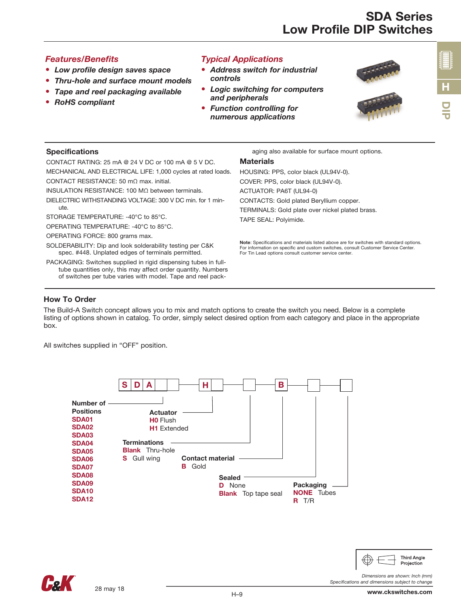### *Features/Benefits*

- *Low profile design saves space*
- *Thru-hole and surface mount models*
- *Tape and reel packaging available*
- *RoHS compliant*

## *Typical Applications*

- *Address switch for industrial controls*
- *Logic switching for computers and peripherals*
- *Function controlling for numerous applications*



#### Specifications

CONTACT RATING: 25 mA @ 24 V DC or 100 mA @ 5 V DC. MECHANICAL AND ELECTRICAL LIFE: 1,000 cycles at rated loads.

CONTACT RESISTANCE: 50 mΩ max. initial.

INSULATION RESISTANCE: 100 MΩ between terminals.

DIELECTRIC WITHSTANDING VOLTAGE: 300 V DC min. for 1 minute.

STORAGE TEMPERATURE: -40°C to 85°C.

OPERATING TEMPERATURE: -40°C to 85°C.

OPERATING FORCE: 800 grams max.

SOLDERABILITY: Dip and look solderability testing per C&K spec. #448. Unplated edges of terminals permitted.

PACKAGING: Switches supplied in rigid dispensing tubes in fulltube quantities only, this may affect order quantity. Numbers of switches per tube varies with model. Tape and reel packaging also available for surface mount options.

#### **Materials**

HOUSING: PPS, color black (UL94V-0). COVER: PPS, color black (UL94V-0). ACTUATOR: PA6T (UL94-0) CONTACTS: Gold plated Beryllium copper. TERMINALS: Gold plate over nickel plated brass. TAPE SEAL: Polyimide.

Note: Specifications and materials listed above are for switches with standard options. For information on specific and custom switches, consult Customer Service Center. For Tin Lead options consult customer service center.

### How To Order

The Build-A Switch concept allows you to mix and match options to create the switch you need. Below is a complete listing of options shown in catalog. To order, simply select desired option from each category and place in the appropriate box.

All switches supplied in "OFF" position.





*Dimensions are shown: Inch (mm)*

**Third Angle** Projection

*Specifications and dimensions subject to change*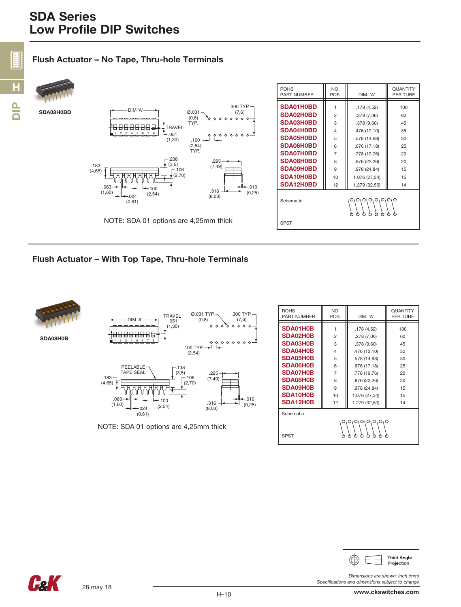# Flush Actuator – No Tape, Thru-hole Terminals



#### Flush Actuator – With Top Tape, Thru-hole Terminals



SDA08H0B



NOTE: SDA 01 options are 4,25mm thick

| <b>ROHS</b><br><b>PART NUMBER</b>                    | NO.<br>POS.    | DIM. 'A'      | <b><i><u>OUANTITY</u></i></b><br>PER TUBE |  |  |  |  |
|------------------------------------------------------|----------------|---------------|-------------------------------------------|--|--|--|--|
| SDA01H0B                                             | 1              | .178(4.52)    | 100                                       |  |  |  |  |
| SDA02H0B                                             | $\overline{c}$ | .278 (7,06)   | 60                                        |  |  |  |  |
| SDA03H0B                                             | 3              | .378 (9,60)   | 45                                        |  |  |  |  |
| SDA04H0B                                             | 4              | .476 (12,10)  | 35                                        |  |  |  |  |
| SDA05H0B                                             | 5              | .578 (14,68)  | 30                                        |  |  |  |  |
| SDA06H0B                                             | 6              | .676 (17,18)  | 25                                        |  |  |  |  |
| SDA07H0B                                             | $\overline{7}$ | .778 (19,76)  | 20                                        |  |  |  |  |
| SDA08H0B                                             | R              | .876 (22,26)  | 20                                        |  |  |  |  |
| SDA09H0B                                             | 9              | .978 (24,84)  | 15                                        |  |  |  |  |
| SDA10H0B                                             | 10             | 1.076 (27,34) | 15                                        |  |  |  |  |
| SDA12H0B                                             | 12             | 1.279 (32,50) | 14                                        |  |  |  |  |
| Schematic                                            |                |               |                                           |  |  |  |  |
| $O_1O_1O_1O_1$<br>O <sub>1</sub> O<br>O <sub>1</sub> |                |               |                                           |  |  |  |  |
| <b>SPST</b><br>ሕ<br>₼<br>₼<br>ጣ<br>ጣ<br>ጣ            |                |               |                                           |  |  |  |  |



*Dimensions are shown: Inch (mm)*

*Specifications and dimensions subject to change*

Fel.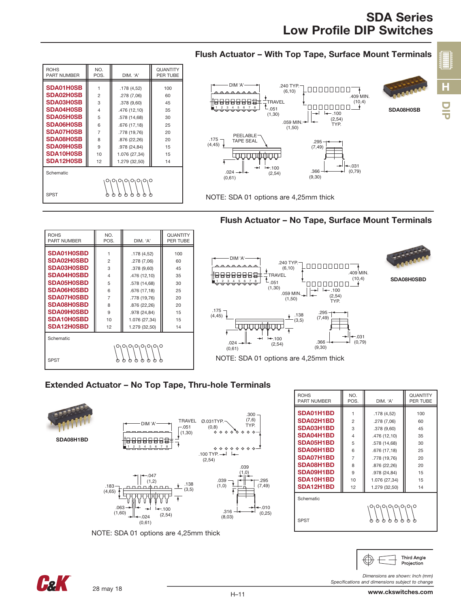# SDA Series Low Profile DIP Switches

DIP

H

**HEER** 

| <b>ROHS</b><br><b>PART NUMBER</b>                  | NO.<br>POS.             | DIM. 'A'      | <b>QUANTITY</b><br>PER TUBE |  |  |  |
|----------------------------------------------------|-------------------------|---------------|-----------------------------|--|--|--|
| SDA01H0SB                                          | 1                       | .178(4.52)    | 100                         |  |  |  |
| SDA02H0SB                                          | $\overline{c}$          | .278 (7,06)   | 60                          |  |  |  |
| <b>SDA03H0SB</b>                                   | 3                       | .378 (9,60)   | 45                          |  |  |  |
| SDA04H0SB                                          | $\overline{\mathbf{A}}$ | .476 (12,10)  | 35                          |  |  |  |
| SDA05H0SB                                          | 5                       | .578 (14,68)  | 30                          |  |  |  |
| <b>SDA06H0SB</b>                                   | 6                       | .676 (17,18)  | 25                          |  |  |  |
| <b>SDA07H0SB</b>                                   | $\overline{7}$          | .778 (19,76)  | 20                          |  |  |  |
| SDA08H0SB                                          | 8                       | .876 (22,26)  | 20                          |  |  |  |
| <b>SDA09H0SB</b>                                   | 9                       | .978 (24,84)  | 15                          |  |  |  |
| SDA10H0SB                                          | 10                      | 1.076 (27,34) | 15                          |  |  |  |
| SDA12H0SB                                          | 12                      | 1.279 (32,50) | 14                          |  |  |  |
| Schematic                                          |                         |               |                             |  |  |  |
| O <sub>1</sub> O<br>1 OI OI<br>O <sub>1</sub><br>O |                         |               |                             |  |  |  |
|                                                    |                         |               |                             |  |  |  |
| <b>SPST</b>                                        |                         |               |                             |  |  |  |

# Flush Actuator – With Top Tape, Surface Mount Terminals



NOTE: SDA 01 options are 4,25mm thick

# Flush Actuator – No Tape, Surface Mount Terminals

| <b>ROHS</b><br><b>PART NUMBER</b>                                                                                                                             | NO.<br>POS.                                                                     | DIM. 'A'                                                                                                                                                 | QUANTITY<br>PER TUBE                                      |                                                                                                |
|---------------------------------------------------------------------------------------------------------------------------------------------------------------|---------------------------------------------------------------------------------|----------------------------------------------------------------------------------------------------------------------------------------------------------|-----------------------------------------------------------|------------------------------------------------------------------------------------------------|
| SDA01H0SBD<br>SDA02H0SBD<br>SDA03H0SBD<br>SDA04H0SBD<br><b>SDA05H0SBD</b><br>SDA06H0SBD<br><b>SDA07H0SBD</b><br>SDA08H0SBD<br><b>SDA09H0SBD</b><br>SDA10H0SBD | $\mathbf{2}$<br>3<br>$\overline{4}$<br>5<br>6<br>$\overline{7}$<br>8<br>9<br>10 | .178(4,52)<br>.278 (7,06)<br>.378(9,60)<br>.476 (12,10)<br>.578 (14,68)<br>.676 (17,18)<br>.778 (19,76)<br>.876 (22,26)<br>.978 (24,84)<br>1.076 (27,34) | 100<br>60<br>45<br>35<br>30<br>25<br>20<br>20<br>15<br>15 | $DIM 'A'$ -<br><del>.</del><br>8888881<br>1 2 3 4 5 6 7<br>ਚਾਚਾਚਾਚਾਚਾਚਾ<br>$.175 -$<br>(4, 45) |
| SDA12H0SBD<br>Schematic<br><b>SPST</b>                                                                                                                        | 12<br>ω                                                                         | 1.279 (32,50)<br>$O_1O_1O_1O_1O_1O_1O_1O$<br>ω<br>ω<br>ω<br>ტ<br>ტ<br>Φ                                                                                  | 14                                                        | $.024 \rightarrow H +$<br>(0,61)<br>NOTE: SDA                                                  |



# Extended Actuator – No Top Tape, Thru-hole Terminals





| <b>ROHS</b><br>PART NUMBER | NO.<br>POS.    | DIM. 'A'      | <b>QUANTITY</b><br>PER TUBE |  |  |  |
|----------------------------|----------------|---------------|-----------------------------|--|--|--|
| SDA01H1BD                  | 1              | .178 (4,52)   | 100                         |  |  |  |
| SDA02H1BD                  | $\overline{2}$ | .278 (7,06)   | 60                          |  |  |  |
| SDA03H1BD                  | 3              | .378 (9,60)   | 45                          |  |  |  |
| SDA04H1BD                  | $\overline{4}$ | .476 (12,10)  | 35                          |  |  |  |
| <b>SDA05H1BD</b>           | 5              | .578 (14,68)  | 30                          |  |  |  |
| SDA06H1BD                  | 6              | .676 (17,18)  | 25                          |  |  |  |
| SDA07H1BD                  | $\overline{7}$ | .778 (19,76)  | 20                          |  |  |  |
| SDA08H1BD                  | 8              | .876 (22,26)  | 20                          |  |  |  |
| SDA09H1BD                  | 9              | .978 (24,84)  | 15                          |  |  |  |
| SDA10H1BD                  | 10             | 1.076 (27,34) | 15                          |  |  |  |
| SDA12H1BD                  | 12             | 1.279 (32,50) | 14                          |  |  |  |
| Schematic<br>01010101010   |                |               |                             |  |  |  |
| <b>SPST</b>                | ტ<br>ტ         |               |                             |  |  |  |



*Specifications and dimensions subject to change*

*Dimensions are shown: Inch (mm)*

28 may 18